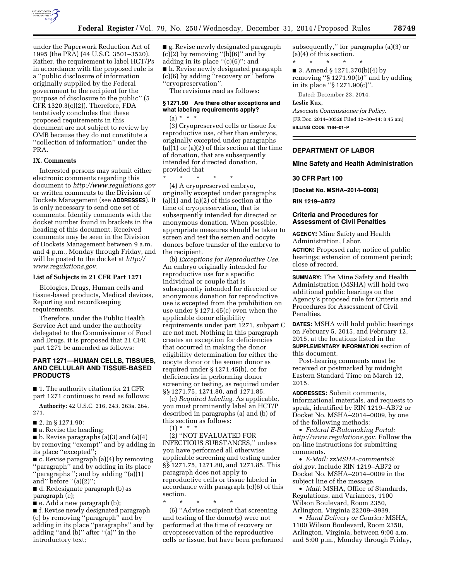

under the Paperwork Reduction Act of 1995 (the PRA) (44 U.S.C. 3501–3520). Rather, the requirement to label HCT/Ps in accordance with the proposed rule is a ''public disclosure of information originally supplied by the Federal government to the recipient for the purpose of disclosure to the public'' (5 CFR 1320.3(c)(2)). Therefore, FDA tentatively concludes that these proposed requirements in this document are not subject to review by OMB because they do not constitute a ''collection of information'' under the PRA.

# **IX. Comments**

Interested persons may submit either electronic comments regarding this document to *<http://www.regulations.gov>* or written comments to the Division of Dockets Management (see **ADDRESSES**). It is only necessary to send one set of comments. Identify comments with the docket number found in brackets in the heading of this document. Received comments may be seen in the Division of Dockets Management between 9 a.m. and 4 p.m., Monday through Friday, and will be posted to the docket at *[http://](http://www.regulations.gov) [www.regulations.gov.](http://www.regulations.gov)* 

## **List of Subjects in 21 CFR Part 1271**

Biologics, Drugs, Human cells and tissue-based products, Medical devices, Reporting and recordkeeping requirements.

Therefore, under the Public Health Service Act and under the authority delegated to the Commissioner of Food and Drugs, it is proposed that 21 CFR part 1271 be amended as follows:

## **PART 1271—HUMAN CELLS, TISSUES, AND CELLULAR AND TISSUE-BASED PRODUCTS**

■ 1. The authority citation for 21 CFR part 1271 continues to read as follows:

**Authority:** 42 U.S.C. 216, 243, 263a, 264, 271.

■ 2. In § 1271.90:

■ a. Revise the heading;

 $\blacksquare$  b. Revise paragraphs (a)(3) and (a)(4) by removing ''exempt'' and by adding in its place "excepted";

■ c. Revise paragraph (a)(4) by removing ''paragraph'' and by adding in its place ''paragraphs ''; and by adding ''(a)(1) and'' before ''(a)(2)'';

■ d. Redesignate paragraph (b) as paragraph (c);

■ e. Add a new paragraph (b);

■ f. Revise newly designated paragraph (c) by removing ''paragraph'' and by adding in its place ''paragraphs'' and by adding ''and (b)'' after ''(a)'' in the introductory text;

■ g. Revise newly designated paragraph (c)(2) by removing ''(b)(6)'' and by adding in its place ''(c)(6)''; and ■ h. Revise newly designated paragraph (c)(6) by adding ''recovery or'' before ''cryopreservation''.

The revisions read as follows:

## **§ 1271.90 Are there other exceptions and what labeling requirements apply?**   $(a) * * * *$

(3) Cryopreserved cells or tissue for reproductive use, other than embryos, originally excepted under paragraphs (a)(1) or (a)(2) of this section at the time of donation, that are subsequently intended for directed donation, provided that

\* \* \* \* \* (4) A cryopreserved embryo, originally excepted under paragraphs (a)(1) and (a)(2) of this section at the time of cryopreservation, that is subsequently intended for directed or anonymous donation. When possible, appropriate measures should be taken to screen and test the semen and oocyte donors before transfer of the embryo to the recipient.

(b) *Exceptions for Reproductive Use.*  An embryo originally intended for reproductive use for a specific individual or couple that is subsequently intended for directed or anonymous donation for reproductive use is excepted from the prohibition on use under § 1271.45(c) even when the applicable donor eligibility requirements under part 1271, subpart C are not met. Nothing in this paragraph creates an exception for deficiencies that occurred in making the donor eligibility determination for either the oocyte donor or the semen donor as required under § 1271.45(b), or for deficiencies in performing donor screening or testing, as required under §§ 1271.75, 1271.80, and 1271.85.

(c) *Required labeling.* As applicable, you must prominently label an HCT/P described in paragraphs (a) and (b) of this section as follows:

 $(1) * * * *$ (2) ''NOT EVALUATED FOR INFECTIOUS SUBSTANCES,'' unless you have performed all otherwise applicable screening and testing under §§ 1271.75, 1271.80, and 1271.85. This paragraph does not apply to reproductive cells or tissue labeled in accordance with paragraph (c)(6) of this section.

\* \* \* \* \*

(6) ''Advise recipient that screening and testing of the donor(s) were not performed at the time of recovery or cryopreservation of the reproductive cells or tissue, but have been performed subsequently,'' for paragraphs (a)(3) or (a)(4) of this section.

\* \* \* \* \* ■ 3. Amend § 1271.370(b)(4) by removing ''§ 1271.90(b)'' and by adding in its place ''§ 1271.90(c)''.

Dated: December 23, 2014.

#### **Leslie Kux,**

*Associate Commissioner for Policy.*  [FR Doc. 2014–30528 Filed 12–30–14; 8:45 am] **BILLING CODE 4164–01–P** 

### **DEPARTMENT OF LABOR**

#### **Mine Safety and Health Administration**

### **30 CFR Part 100**

**[Docket No. MSHA–2014–0009]** 

**RIN 1219–AB72** 

# **Criteria and Procedures for Assessment of Civil Penalties**

**AGENCY:** Mine Safety and Health Administration, Labor.

**ACTION:** Proposed rule; notice of public hearings; extension of comment period; close of record.

**SUMMARY:** The Mine Safety and Health Administration (MSHA) will hold two additional public hearings on the Agency's proposed rule for Criteria and Procedures for Assessment of Civil Penalties.

**DATES:** MSHA will hold public hearings on February 5, 2015, and February 12, 2015, at the locations listed in the **SUPPLEMENTARY INFORMATION** section of this document.

Post-hearing comments must be received or postmarked by midnight Eastern Standard Time on March 12, 2015.

**ADDRESSES:** Submit comments, informational materials, and requests to speak, identified by RIN 1219–AB72 or Docket No. MSHA–2014–0009, by one of the following methods:

• *Federal E-Rulemaking Portal: [http://www.regulations.gov.](http://www.regulations.gov)* Follow the on-line instructions for submitting comments.

• *E-Mail: [zzMSHA-comments@](mailto:zzMSHA-comments@dol.gov) [dol.gov.](mailto:zzMSHA-comments@dol.gov)* Include RIN 1219–AB72 or Docket No. MSHA–2014–0009 in the subject line of the message.

• *Mail:* MSHA, Office of Standards, Regulations, and Variances, 1100 Wilson Boulevard, Room 2350, Arlington, Virginia 22209–3939.

• *Hand Delivery or Courier:* MSHA, 1100 Wilson Boulevard, Room 2350, Arlington, Virginia, between 9:00 a.m. and 5:00 p.m., Monday through Friday,